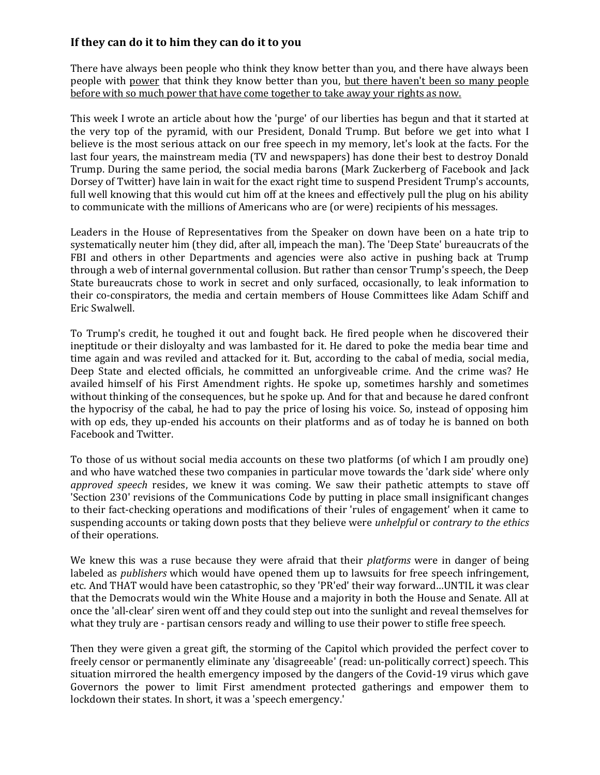## **If they can do it to him they can do it to you**

There have always been people who think they know better than you, and there have always been people with power that think they know better than you, but there haven't been so many people before with so much power that have come together to take away your rights as now.

This week I wrote an article about how the 'purge' of our liberties has begun and that it started at the very top of the pyramid, with our President, Donald Trump. But before we get into what I believe is the most serious attack on our free speech in my memory, let's look at the facts. For the last four years, the mainstream media (TV and newspapers) has done their best to destroy Donald Trump. During the same period, the social media barons (Mark Zuckerberg of Facebook and Jack Dorsey of Twitter) have lain in wait for the exact right time to suspend President Trump's accounts, full well knowing that this would cut him off at the knees and effectively pull the plug on his ability to communicate with the millions of Americans who are (or were) recipients of his messages.

Leaders in the House of Representatives from the Speaker on down have been on a hate trip to systematically neuter him (they did, after all, impeach the man). The 'Deep State' bureaucrats of the FBI and others in other Departments and agencies were also active in pushing back at Trump through a web of internal governmental collusion. But rather than censor Trump's speech, the Deep State bureaucrats chose to work in secret and only surfaced, occasionally, to leak information to their co-conspirators, the media and certain members of House Committees like Adam Schiff and Eric Swalwell.

To Trump's credit, he toughed it out and fought back. He fired people when he discovered their ineptitude or their disloyalty and was lambasted for it. He dared to poke the media bear time and time again and was reviled and attacked for it. But, according to the cabal of media, social media, Deep State and elected officials, he committed an unforgiveable crime. And the crime was? He availed himself of his First Amendment rights. He spoke up, sometimes harshly and sometimes without thinking of the consequences, but he spoke up. And for that and because he dared confront the hypocrisy of the cabal, he had to pay the price of losing his voice. So, instead of opposing him with op eds, they up-ended his accounts on their platforms and as of today he is banned on both Facebook and Twitter.

To those of us without social media accounts on these two platforms (of which I am proudly one) and who have watched these two companies in particular move towards the 'dark side' where only *approved speech* resides, we knew it was coming. We saw their pathetic attempts to stave off 'Section 230' revisions of the Communications Code by putting in place small insignificant changes to their fact-checking operations and modifications of their 'rules of engagement' when it came to suspending accounts or taking down posts that they believe were *unhelpful* or *contrary to the ethics* of their operations.

We knew this was a ruse because they were afraid that their *platforms* were in danger of being labeled as *publishers* which would have opened them up to lawsuits for free speech infringement, etc. And THAT would have been catastrophic, so they 'PR'ed' their way forward…UNTIL it was clear that the Democrats would win the White House and a majority in both the House and Senate. All at once the 'all-clear' siren went off and they could step out into the sunlight and reveal themselves for what they truly are - partisan censors ready and willing to use their power to stifle free speech.

Then they were given a great gift, the storming of the Capitol which provided the perfect cover to freely censor or permanently eliminate any 'disagreeable' (read: un-politically correct) speech. This situation mirrored the health emergency imposed by the dangers of the Covid-19 virus which gave Governors the power to limit First amendment protected gatherings and empower them to lockdown their states. In short, it was a 'speech emergency.'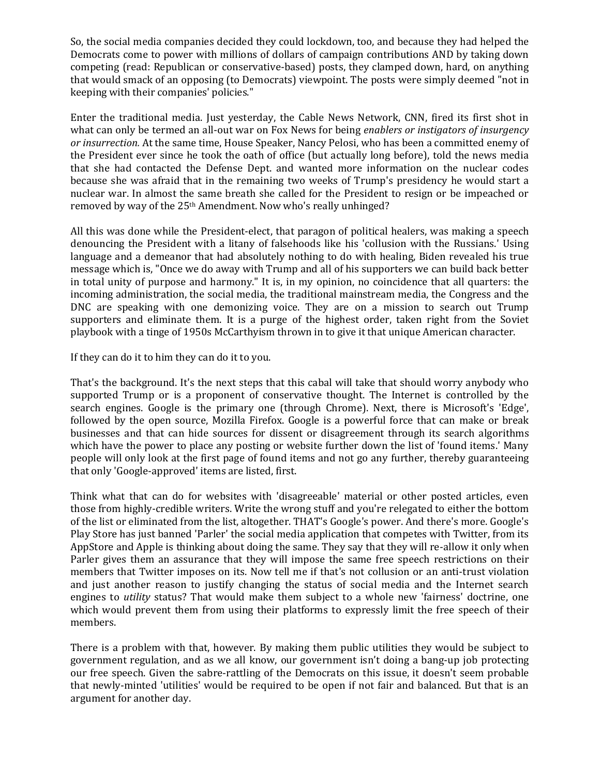So, the social media companies decided they could lockdown, too, and because they had helped the Democrats come to power with millions of dollars of campaign contributions AND by taking down competing (read: Republican or conservative-based) posts, they clamped down, hard, on anything that would smack of an opposing (to Democrats) viewpoint. The posts were simply deemed "not in keeping with their companies' policies."

Enter the traditional media. Just yesterday, the Cable News Network, CNN, fired its first shot in what can only be termed an all-out war on Fox News for being *enablers or instigators of insurgency or insurrection.* At the same time, House Speaker, Nancy Pelosi, who has been a committed enemy of the President ever since he took the oath of office (but actually long before), told the news media that she had contacted the Defense Dept. and wanted more information on the nuclear codes because she was afraid that in the remaining two weeks of Trump's presidency he would start a nuclear war. In almost the same breath she called for the President to resign or be impeached or removed by way of the 25th Amendment. Now who's really unhinged?

All this was done while the President-elect, that paragon of political healers, was making a speech denouncing the President with a litany of falsehoods like his 'collusion with the Russians.' Using language and a demeanor that had absolutely nothing to do with healing, Biden revealed his true message which is, "Once we do away with Trump and all of his supporters we can build back better in total unity of purpose and harmony." It is, in my opinion, no coincidence that all quarters: the incoming administration, the social media, the traditional mainstream media, the Congress and the DNC are speaking with one demonizing voice. They are on a mission to search out Trump supporters and eliminate them. It is a purge of the highest order, taken right from the Soviet playbook with a tinge of 1950s McCarthyism thrown in to give it that unique American character.

If they can do it to him they can do it to you.

That's the background. It's the next steps that this cabal will take that should worry anybody who supported Trump or is a proponent of conservative thought. The Internet is controlled by the search engines. Google is the primary one (through Chrome). Next, there is Microsoft's 'Edge', followed by the open source, Mozilla Firefox. Google is a powerful force that can make or break businesses and that can hide sources for dissent or disagreement through its search algorithms which have the power to place any posting or website further down the list of 'found items.' Many people will only look at the first page of found items and not go any further, thereby guaranteeing that only 'Google-approved' items are listed, first.

Think what that can do for websites with 'disagreeable' material or other posted articles, even those from highly-credible writers. Write the wrong stuff and you're relegated to either the bottom of the list or eliminated from the list, altogether. THAT's Google's power. And there's more. Google's Play Store has just banned 'Parler' the social media application that competes with Twitter, from its AppStore and Apple is thinking about doing the same. They say that they will re-allow it only when Parler gives them an assurance that they will impose the same free speech restrictions on their members that Twitter imposes on its. Now tell me if that's not collusion or an anti-trust violation and just another reason to justify changing the status of social media and the Internet search engines to *utility* status? That would make them subject to a whole new 'fairness' doctrine, one which would prevent them from using their platforms to expressly limit the free speech of their members.

There is a problem with that, however. By making them public utilities they would be subject to government regulation, and as we all know, our government isn't doing a bang-up job protecting our free speech. Given the sabre-rattling of the Democrats on this issue, it doesn't seem probable that newly-minted 'utilities' would be required to be open if not fair and balanced. But that is an argument for another day.